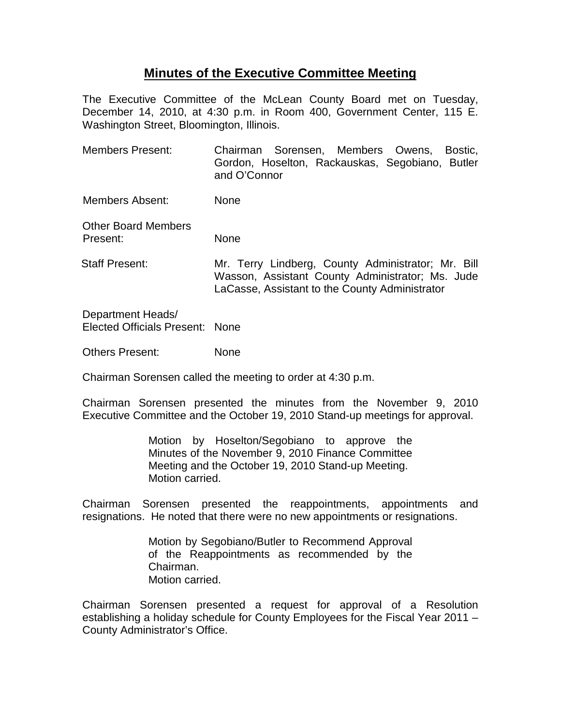## **Minutes of the Executive Committee Meeting**

The Executive Committee of the McLean County Board met on Tuesday, December 14, 2010, at 4:30 p.m. in Room 400, Government Center, 115 E. Washington Street, Bloomington, Illinois.

Members Present: Chairman Sorensen, Members Owens, Bostic, Gordon, Hoselton, Rackauskas, Segobiano, Butler and O'Connor

Members Absent: None

Other Board Members Present: None

Staff Present: Mr. Terry Lindberg, County Administrator; Mr. Bill Wasson, Assistant County Administrator; Ms. Jude LaCasse, Assistant to the County Administrator

Department Heads/ Elected Officials Present: None

Others Present: None

Chairman Sorensen called the meeting to order at 4:30 p.m.

Chairman Sorensen presented the minutes from the November 9, 2010 Executive Committee and the October 19, 2010 Stand-up meetings for approval.

> Motion by Hoselton/Segobiano to approve the Minutes of the November 9, 2010 Finance Committee Meeting and the October 19, 2010 Stand-up Meeting. Motion carried.

Chairman Sorensen presented the reappointments, appointments and resignations. He noted that there were no new appointments or resignations.

> Motion by Segobiano/Butler to Recommend Approval of the Reappointments as recommended by the Chairman. Motion carried.

Chairman Sorensen presented a request for approval of a Resolution establishing a holiday schedule for County Employees for the Fiscal Year 2011 – County Administrator's Office.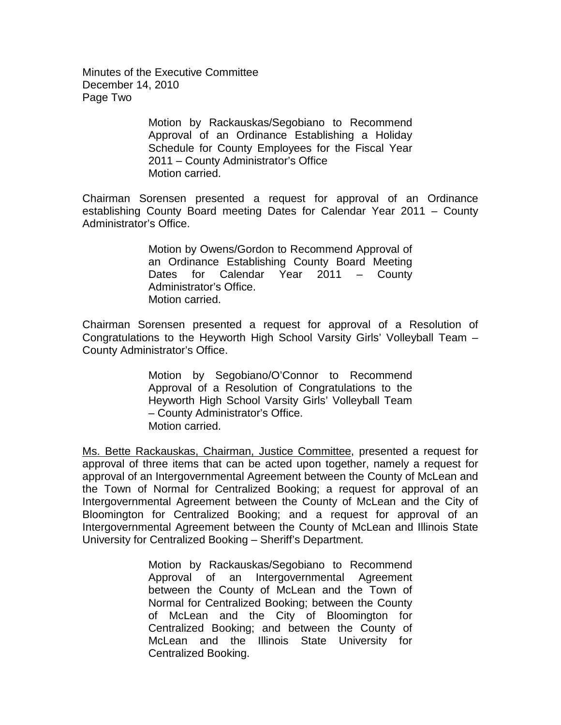Minutes of the Executive Committee December 14, 2010 Page Two

> Motion by Rackauskas/Segobiano to Recommend Approval of an Ordinance Establishing a Holiday Schedule for County Employees for the Fiscal Year 2011 – County Administrator's Office Motion carried.

Chairman Sorensen presented a request for approval of an Ordinance establishing County Board meeting Dates for Calendar Year 2011 – County Administrator's Office.

> Motion by Owens/Gordon to Recommend Approval of an Ordinance Establishing County Board Meeting Dates for Calendar Year 2011 – County Administrator's Office. Motion carried.

Chairman Sorensen presented a request for approval of a Resolution of Congratulations to the Heyworth High School Varsity Girls' Volleyball Team – County Administrator's Office.

> Motion by Segobiano/O'Connor to Recommend Approval of a Resolution of Congratulations to the Heyworth High School Varsity Girls' Volleyball Team – County Administrator's Office. Motion carried.

Ms. Bette Rackauskas, Chairman, Justice Committee, presented a request for approval of three items that can be acted upon together, namely a request for approval of an Intergovernmental Agreement between the County of McLean and the Town of Normal for Centralized Booking; a request for approval of an Intergovernmental Agreement between the County of McLean and the City of Bloomington for Centralized Booking; and a request for approval of an Intergovernmental Agreement between the County of McLean and Illinois State University for Centralized Booking – Sheriff's Department.

> Motion by Rackauskas/Segobiano to Recommend Approval of an Intergovernmental Agreement between the County of McLean and the Town of Normal for Centralized Booking; between the County of McLean and the City of Bloomington for Centralized Booking; and between the County of McLean and the Illinois State University for Centralized Booking.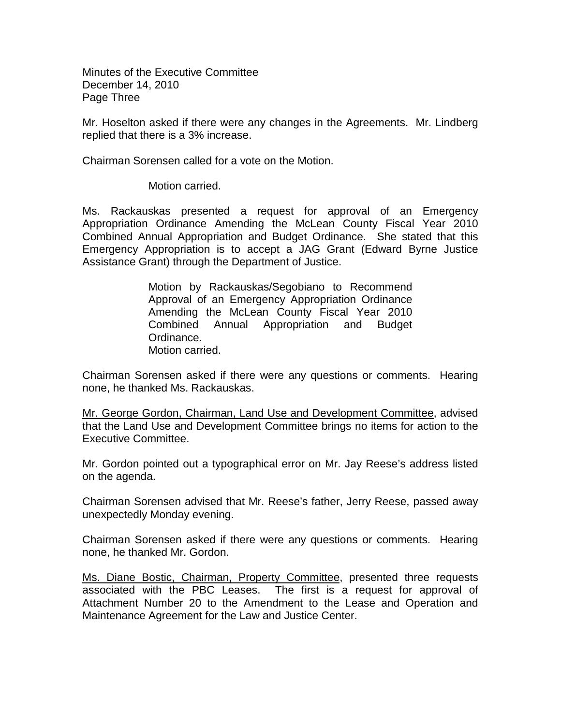Minutes of the Executive Committee December 14, 2010 Page Three

Mr. Hoselton asked if there were any changes in the Agreements. Mr. Lindberg replied that there is a 3% increase.

Chairman Sorensen called for a vote on the Motion.

Motion carried.

Ms. Rackauskas presented a request for approval of an Emergency Appropriation Ordinance Amending the McLean County Fiscal Year 2010 Combined Annual Appropriation and Budget Ordinance. She stated that this Emergency Appropriation is to accept a JAG Grant (Edward Byrne Justice Assistance Grant) through the Department of Justice.

> Motion by Rackauskas/Segobiano to Recommend Approval of an Emergency Appropriation Ordinance Amending the McLean County Fiscal Year 2010 Combined Annual Appropriation and Budget Ordinance. Motion carried.

Chairman Sorensen asked if there were any questions or comments. Hearing none, he thanked Ms. Rackauskas.

Mr. George Gordon, Chairman, Land Use and Development Committee, advised that the Land Use and Development Committee brings no items for action to the Executive Committee.

Mr. Gordon pointed out a typographical error on Mr. Jay Reese's address listed on the agenda.

Chairman Sorensen advised that Mr. Reese's father, Jerry Reese, passed away unexpectedly Monday evening.

Chairman Sorensen asked if there were any questions or comments. Hearing none, he thanked Mr. Gordon.

<u>Ms. Diane Bostic, Chairman, Property Committee</u>, presented three requests<br>associated with the PBC Leases. The first is a request for approval of The first is a request for approval of Attachment Number 20 to the Amendment to the Lease and Operation and Maintenance Agreement for the Law and Justice Center.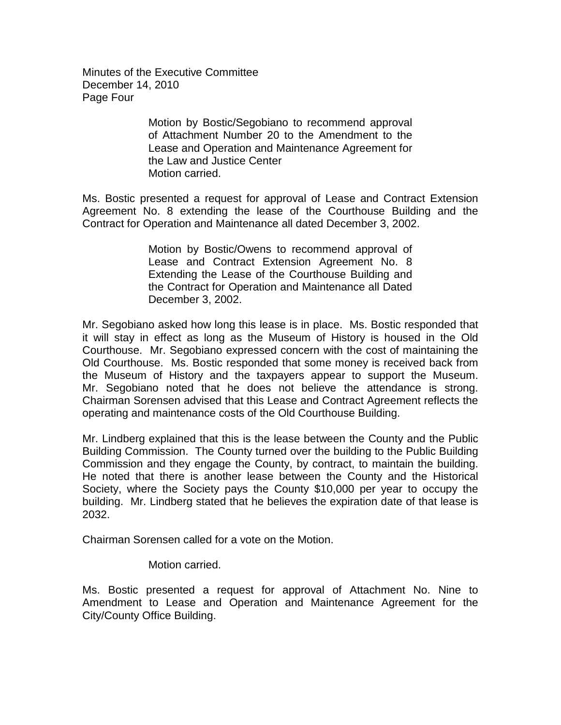Minutes of the Executive Committee December 14, 2010 Page Four

> Motion by Bostic/Segobiano to recommend approval of Attachment Number 20 to the Amendment to the Lease and Operation and Maintenance Agreement for the Law and Justice Center Motion carried.

Ms. Bostic presented a request for approval of Lease and Contract Extension Agreement No. 8 extending the lease of the Courthouse Building and the Contract for Operation and Maintenance all dated December 3, 2002.

> Motion by Bostic/Owens to recommend approval of Lease and Contract Extension Agreement No. 8 Extending the Lease of the Courthouse Building and the Contract for Operation and Maintenance all Dated December 3, 2002.

Mr. Segobiano asked how long this lease is in place. Ms. Bostic responded that it will stay in effect as long as the Museum of History is housed in the Old Courthouse. Mr. Segobiano expressed concern with the cost of maintaining the Old Courthouse. Ms. Bostic responded that some money is received back from the Museum of History and the taxpayers appear to support the Museum. Mr. Segobiano noted that he does not believe the attendance is strong. Chairman Sorensen advised that this Lease and Contract Agreement reflects the operating and maintenance costs of the Old Courthouse Building.

Mr. Lindberg explained that this is the lease between the County and the Public Building Commission. The County turned over the building to the Public Building Commission and they engage the County, by contract, to maintain the building. He noted that there is another lease between the County and the Historical Society, where the Society pays the County \$10,000 per year to occupy the building. Mr. Lindberg stated that he believes the expiration date of that lease is 2032.

Chairman Sorensen called for a vote on the Motion.

Motion carried.

Ms. Bostic presented a request for approval of Attachment No. Nine to Amendment to Lease and Operation and Maintenance Agreement for the City/County Office Building.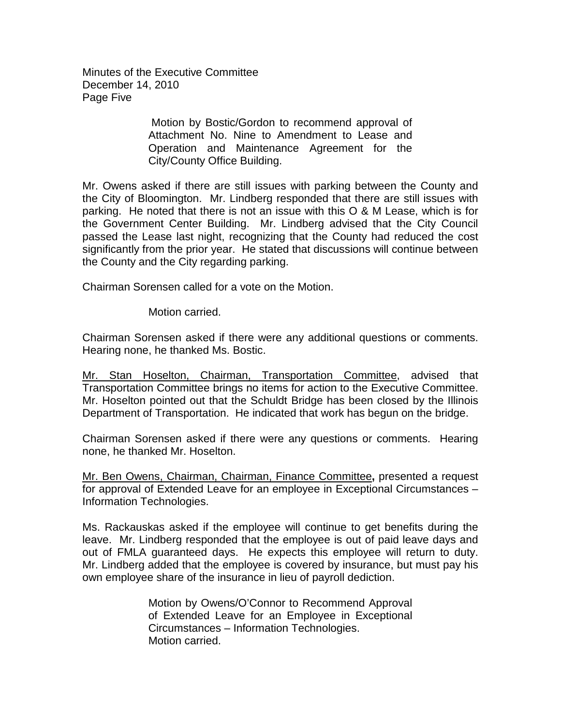Minutes of the Executive Committee December 14, 2010 Page Five

> Motion by Bostic/Gordon to recommend approval of Attachment No. Nine to Amendment to Lease and Operation and Maintenance Agreement for the City/County Office Building.

Mr. Owens asked if there are still issues with parking between the County and the City of Bloomington. Mr. Lindberg responded that there are still issues with parking. He noted that there is not an issue with this O & M Lease, which is for the Government Center Building. Mr. Lindberg advised that the City Council passed the Lease last night, recognizing that the County had reduced the cost significantly from the prior year. He stated that discussions will continue between the County and the City regarding parking.

Chairman Sorensen called for a vote on the Motion.

Motion carried.

Chairman Sorensen asked if there were any additional questions or comments. Hearing none, he thanked Ms. Bostic.

Mr. Stan Hoselton, Chairman, Transportation Committee, advised that Transportation Committee brings no items for action to the Executive Committee. Mr. Hoselton pointed out that the Schuldt Bridge has been closed by the Illinois Department of Transportation. He indicated that work has begun on the bridge.

Chairman Sorensen asked if there were any questions or comments. Hearing none, he thanked Mr. Hoselton.

Mr. Ben Owens, Chairman, Chairman, Finance Committee**,** presented a request for approval of Extended Leave for an employee in Exceptional Circumstances – Information Technologies.

Ms. Rackauskas asked if the employee will continue to get benefits during the leave. Mr. Lindberg responded that the employee is out of paid leave days and out of FMLA guaranteed days. He expects this employee will return to duty. Mr. Lindberg added that the employee is covered by insurance, but must pay his own employee share of the insurance in lieu of payroll dediction.

> Motion by Owens/O'Connor to Recommend Approval of Extended Leave for an Employee in Exceptional Circumstances – Information Technologies. Motion carried.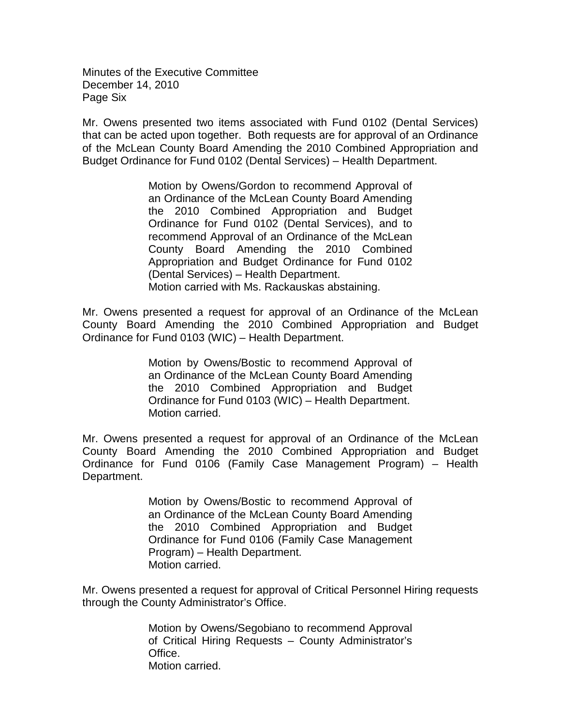Minutes of the Executive Committee December 14, 2010 Page Six

Mr. Owens presented two items associated with Fund 0102 (Dental Services) that can be acted upon together. Both requests are for approval of an Ordinance of the McLean County Board Amending the 2010 Combined Appropriation and Budget Ordinance for Fund 0102 (Dental Services) – Health Department.

> Motion by Owens/Gordon to recommend Approval of an Ordinance of the McLean County Board Amending the 2010 Combined Appropriation and Budget Ordinance for Fund 0102 (Dental Services), and to recommend Approval of an Ordinance of the McLean County Board Amending the 2010 Combined Appropriation and Budget Ordinance for Fund 0102 (Dental Services) – Health Department. Motion carried with Ms. Rackauskas abstaining.

Mr. Owens presented a request for approval of an Ordinance of the McLean County Board Amending the 2010 Combined Appropriation and Budget Ordinance for Fund 0103 (WIC) – Health Department.

> Motion by Owens/Bostic to recommend Approval of an Ordinance of the McLean County Board Amending the 2010 Combined Appropriation and Budget Ordinance for Fund 0103 (WIC) – Health Department. Motion carried.

Mr. Owens presented a request for approval of an Ordinance of the McLean County Board Amending the 2010 Combined Appropriation and Budget Ordinance for Fund 0106 (Family Case Management Program) – Health Department.

> Motion by Owens/Bostic to recommend Approval of an Ordinance of the McLean County Board Amending the 2010 Combined Appropriation and Budget Ordinance for Fund 0106 (Family Case Management Program) – Health Department. Motion carried.

Mr. Owens presented a request for approval of Critical Personnel Hiring requests through the County Administrator's Office.

> Motion by Owens/Segobiano to recommend Approval of Critical Hiring Requests – County Administrator's Office. Motion carried.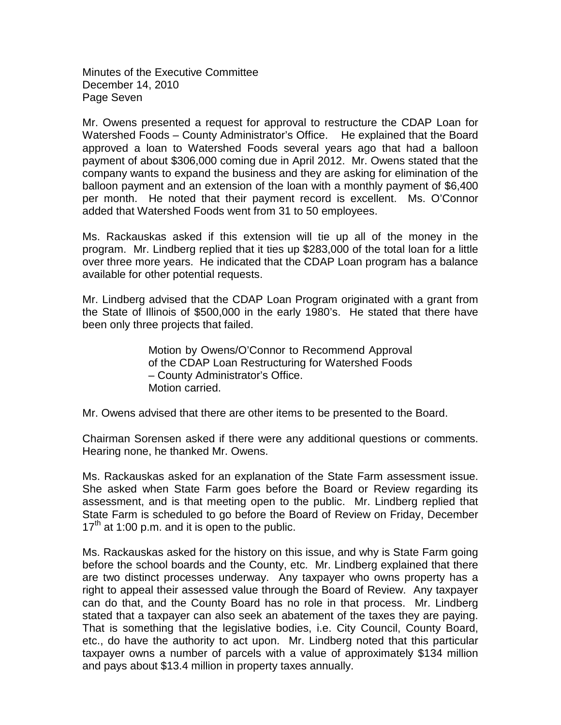Minutes of the Executive Committee December 14, 2010 Page Seven

Mr. Owens presented a request for approval to restructure the CDAP Loan for Watershed Foods – County Administrator's Office. He explained that the Board approved a loan to Watershed Foods several years ago that had a balloon payment of about \$306,000 coming due in April 2012. Mr. Owens stated that the company wants to expand the business and they are asking for elimination of the balloon payment and an extension of the loan with a monthly payment of \$6,400 per month. He noted that their payment record is excellent. Ms. O'Connor added that Watershed Foods went from 31 to 50 employees.

Ms. Rackauskas asked if this extension will tie up all of the money in the program. Mr. Lindberg replied that it ties up \$283,000 of the total loan for a little over three more years. He indicated that the CDAP Loan program has a balance available for other potential requests.

Mr. Lindberg advised that the CDAP Loan Program originated with a grant from the State of Illinois of \$500,000 in the early 1980's. He stated that there have been only three projects that failed.

> Motion by Owens/O'Connor to Recommend Approval of the CDAP Loan Restructuring for Watershed Foods – County Administrator's Office. Motion carried.

Mr. Owens advised that there are other items to be presented to the Board.

Chairman Sorensen asked if there were any additional questions or comments. Hearing none, he thanked Mr. Owens.

Ms. Rackauskas asked for an explanation of the State Farm assessment issue. She asked when State Farm goes before the Board or Review regarding its assessment, and is that meeting open to the public. Mr. Lindberg replied that State Farm is scheduled to go before the Board of Review on Friday, December  $17<sup>th</sup>$  at 1:00 p.m. and it is open to the public.

Ms. Rackauskas asked for the history on this issue, and why is State Farm going before the school boards and the County, etc. Mr. Lindberg explained that there are two distinct processes underway. Any taxpayer who owns property has a right to appeal their assessed value through the Board of Review. Any taxpayer can do that, and the County Board has no role in that process. Mr. Lindberg stated that a taxpayer can also seek an abatement of the taxes they are paying. That is something that the legislative bodies, i.e. City Council, County Board, etc., do have the authority to act upon. Mr. Lindberg noted that this particular taxpayer owns a number of parcels with a value of approximately \$134 million and pays about \$13.4 million in property taxes annually.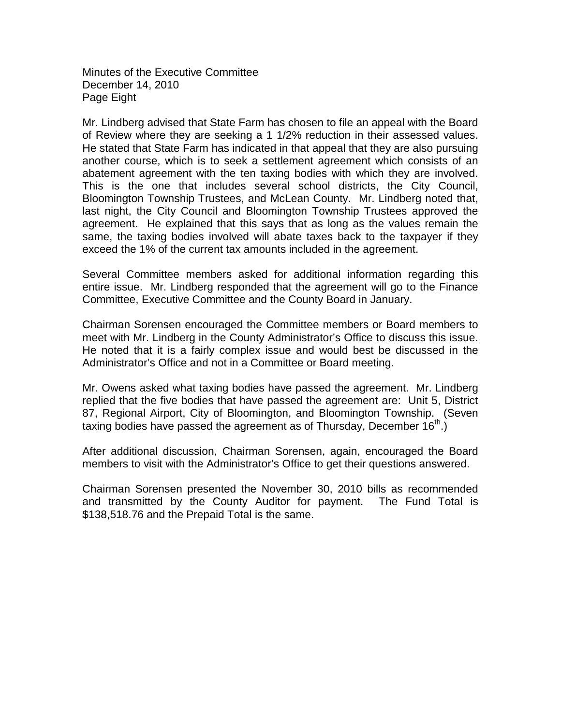Minutes of the Executive Committee December 14, 2010 Page Eight

Mr. Lindberg advised that State Farm has chosen to file an appeal with the Board of Review where they are seeking a 1 1/2% reduction in their assessed values. He stated that State Farm has indicated in that appeal that they are also pursuing another course, which is to seek a settlement agreement which consists of an abatement agreement with the ten taxing bodies with which they are involved. This is the one that includes several school districts, the City Council, Bloomington Township Trustees, and McLean County. Mr. Lindberg noted that, last night, the City Council and Bloomington Township Trustees approved the agreement. He explained that this says that as long as the values remain the same, the taxing bodies involved will abate taxes back to the taxpayer if they exceed the 1% of the current tax amounts included in the agreement.

Several Committee members asked for additional information regarding this entire issue. Mr. Lindberg responded that the agreement will go to the Finance Committee, Executive Committee and the County Board in January.

Chairman Sorensen encouraged the Committee members or Board members to meet with Mr. Lindberg in the County Administrator's Office to discuss this issue. He noted that it is a fairly complex issue and would best be discussed in the Administrator's Office and not in a Committee or Board meeting.

Mr. Owens asked what taxing bodies have passed the agreement. Mr. Lindberg replied that the five bodies that have passed the agreement are: Unit 5, District 87, Regional Airport, City of Bloomington, and Bloomington Township. (Seven taxing bodies have passed the agreement as of Thursday, December  $16<sup>th</sup>$ .)

After additional discussion, Chairman Sorensen, again, encouraged the Board members to visit with the Administrator's Office to get their questions answered.

Chairman Sorensen presented the November 30, 2010 bills as recommended and transmitted by the County Auditor for payment. The Fund Total is \$138,518.76 and the Prepaid Total is the same.